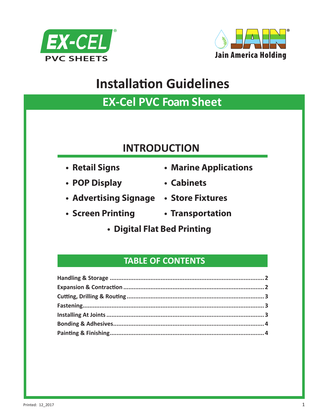



## **EX-Cel PVC Foam Sheet**

## **INTRODUCTION**

- **Retail Signs**
- **POP Display**
- **Advertising Signage Store Fixtures**
- 
- **Marine Applications**
- **Cabinets**
	-
- **Screen Printing Transportation**
	- **Digital Flat Bed Printing**

#### **TABLE OF CONTENTS**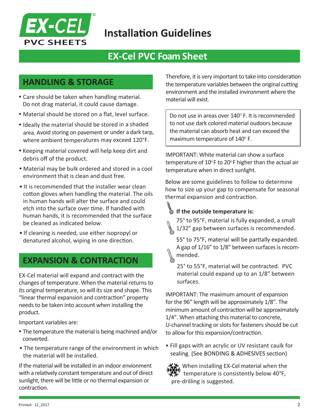

## **EX-Cel PVC Foam Sheet**

#### **HANDLING & STORAGE**

- Care should be taken when handling material. Do not drag material, it could cause damage.
- Material should be stored on a flat, level surface.
- Ideally the material should be stored in <sup>a</sup> shaded area. Avoid storing on pavement or under a dark tarp, where ambient temperatures may exceed 120°F.
- Keeping material covered will help keep dirt and debris off of the product.
- Material may be bulk ordered and stored in a cool environment that is clean and dust free.
- It is recommended that the installer wear clean cotton gloves when handling the material. The oils in human hands will alter the surface and could etch into the surface over time. If handled with human hands, it is recommended that the surface be cleaned as indicated below.
- If cleaning is needed, use either isopropyl or denatured alcohol, wiping in one direction.

#### **EXPANSION & CONTRACTION**

EX-Cel material will expand and contract with the changes of temperature. When the material returns to its original temperature, so will its size and shape. This "linear thermal expansion and contraction" property needs to be taken into account when installing the product.

Important variables are:

- The temperature the material is being machined and/or converted.
- The temperature range of the environment in which the material will be installed.

If the material will be installed in an indoor envionment with a relatively constant temperature and out of direct sunlight, there will be little or no thermal expansion or contraction.

Therefore, it is very important to take into consideration the temperature variables between the original cutting environment and the installed invironment where the material will exist.

Do not use in areas over 140° F. It is recommended to not use dark colored material oudoors because the material can absorb heat and can exceed the maximum temperature of  $140^\circ$  F.

IMPORTANT: White material can show a surface temperature of  $10^{\circ}$ F to  $20^{\circ}$ F higher than the actual air temperature when in direct sunlight.

Below are some guidelines to follow to determine how to size up your gap to compensate for seasonal thermal expansion and contraction.

# **If the outside temperature is:**



55° to 75°F, material will be partially expanded. A gap of 1/16" to 1/8" between surfaces is recommended.

25° to 55°F, material will be contracted. PVC material could expand up to an 1/8" between surfaces.

IMPORTANT: The maximum amount of expansion for the 96" length will be approximately 1/8". The minimum amount of contraction will be approximately 1/4". When attaching this material to concrete, U-channel tracking or slots for fasteners should be cut to allow for this expansion/contraction.

- Fill gaps with an acrylic or UV resistant caulk for sealing. (See BONDING & ADHESIVES section)
	- $\cdot$ , When installing EX-Cel material when the temperature is consistently below 40°F, pre-drilling is suggested.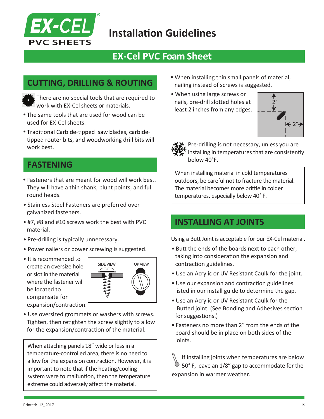

## **EX-Cel PVC Foam Sheet**

#### **CUTTING, DRILLING & ROUTING**

There are no special tools that are required to work with EX-Cel sheets or materials.

- The same tools that are used for wood can be used for EX-Cel sheets.
- . Traditional Carbide-tipped saw blades, carbidetipped router bits, and woodworking drill bits will work best.

#### **FASTENING**

- Fasteners that are meant for wood will work best. They will have a thin shank, blunt points, and full round heads.
- Stainless Steel Fasteners are preferred over galvanized fasteners.
- #7, #8 and #10 screws work the best with PVC material.
- Pre-drilling is typically unnecessary.
- Power nailers or power screwing is suggested.
- It is recommended to create an oversize hole or slot in the material where the fastener will be located to compensate for expansion/contraction.



• Use oversized grommets or washers with screws. Tighten, then retighten the screw slightly to allow for the expansion/contraction of the material.

When attaching panels 18" wide or less in a temperature-controlled area, there is no need to allow for the expansion contraction. However, it is important to note that if the heating/cooling system were to malfuntion, then the temperature extreme could adversely affect the material.

- When installing thin small panels of material, nailing instead of screws is suggested.
- When using large screws or nails, pre-drill slotted holes at least 2 inches from any edges.





Pre-drilling is not necessary, unless you are installing in temperatures that are consistently below 40°F.

When installing material in cold temperatures outdoors, be careful not to fracture the material. The material becomes more brittle in colder temperatures, especially below 40˚ F.

#### **INSTALLING AT JOINTS**

Using a Butt Joint is acceptable for our EX-Cel material.

- Butt the ends of the boards next to each other, taking into consideration the expansion and contraction guidelines.
- Use an Acrylic or UV Resistant Caulk for the joint.
- Use our expansion and contraction guidelines listed in our install guide to determine the gap.
- Use an Acrylic or UV Resistant Caulk for the Butted joint. (See Bonding and Adhesives section for suggestions.)
- Fasteners no more than 2" from the ends of the board should be in place on both sides of the joints.

If installing joints when temperatures are below  $\circlearrowright$  50° F, leave an 1/8" gap to accommodate for the expansion in warmer weather.